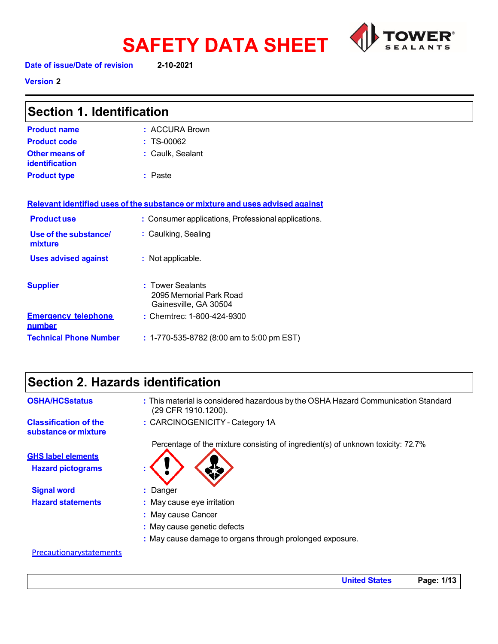

**SAFETY DATA SHEET Date of issue/Date of revision 2-10-2021**

**Version 2** 

| <b>Section 1. Identification</b>     |                                                                               |
|--------------------------------------|-------------------------------------------------------------------------------|
| <b>Product name</b>                  | : ACCURA Brown                                                                |
| <b>Product code</b>                  | $: TS-00062$                                                                  |
| Other means of<br>identification     | : Caulk, Sealant                                                              |
| <b>Product type</b>                  | : Paste                                                                       |
|                                      | Relevant identified uses of the substance or mixture and uses advised against |
| <b>Productuse</b>                    | : Consumer applications, Professional applications.                           |
| Use of the substance/<br>mixture     | : Caulking, Sealing                                                           |
| <b>Uses advised against</b>          | : Not applicable.                                                             |
| <b>Supplier</b>                      | : Tower Sealants<br>2095 Memorial Park Road<br>Gainesville, GA 30504          |
| <b>Emergency telephone</b><br>number | : Chemtrec: 1-800-424-9300                                                    |

**Technical Phone Number :** 1-770-535-8782 (8:00 am to 5:00 pm EST)

# **Section 2. Hazards identification**

| <b>OSHA/HCSstatus</b>                                | : This material is considered hazardous by the OSHA Hazard Communication Standard<br>(29 CFR 1910.1200). |
|------------------------------------------------------|----------------------------------------------------------------------------------------------------------|
| <b>Classification of the</b><br>substance or mixture | : CARCINOGENICITY - Category 1A                                                                          |
|                                                      | Percentage of the mixture consisting of ingredient(s) of unknown toxicity: 72.7%                         |
| <b>GHS label elements</b>                            |                                                                                                          |
| <b>Hazard pictograms</b>                             |                                                                                                          |
| <b>Signal word</b>                                   | : Danger                                                                                                 |
| <b>Hazard statements</b>                             | : May cause eye irritation                                                                               |
|                                                      | : May cause Cancer                                                                                       |
|                                                      | : May cause genetic defects                                                                              |
|                                                      | : May cause damage to organs through prolonged exposure.                                                 |

### **Precautionarystatements**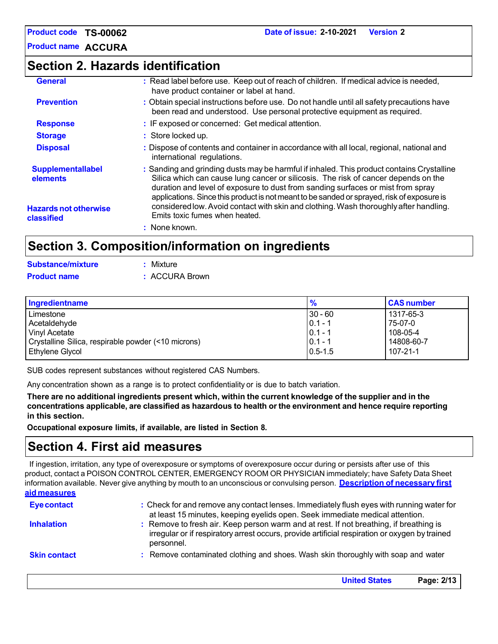**Product name ACCURA**

# **Section 2. Hazards identification**

| <b>General</b>                             | : Read label before use. Keep out of reach of children. If medical advice is needed,<br>have product container or label at hand.                                                                                                                                                                                                                                 |
|--------------------------------------------|------------------------------------------------------------------------------------------------------------------------------------------------------------------------------------------------------------------------------------------------------------------------------------------------------------------------------------------------------------------|
| <b>Prevention</b>                          | : Obtain special instructions before use. Do not handle until all safety precautions have<br>been read and understood. Use personal protective equipment as required.                                                                                                                                                                                            |
| <b>Response</b>                            | : IF exposed or concerned: Get medical attention.                                                                                                                                                                                                                                                                                                                |
| <b>Storage</b>                             | : Store locked up.                                                                                                                                                                                                                                                                                                                                               |
| <b>Disposal</b>                            | : Dispose of contents and container in accordance with all local, regional, national and<br>international regulations.                                                                                                                                                                                                                                           |
| <b>Supplementallabel</b><br>elements       | : Sanding and grinding dusts may be harmful if inhaled. This product contains Crystalline<br>Silica which can cause lung cancer or silicosis. The risk of cancer depends on the<br>duration and level of exposure to dust from sanding surfaces or mist from spray<br>applications. Since this product is not meant to be sanded or sprayed, risk of exposure is |
| <b>Hazards not otherwise</b><br>classified | considered low. Avoid contact with skin and clothing. Wash thoroughly after handling.<br>Emits toxic fumes when heated.                                                                                                                                                                                                                                          |
|                                            | : None known.                                                                                                                                                                                                                                                                                                                                                    |
|                                            | Section 3 Composition/information on ingradiants                                                                                                                                                                                                                                                                                                                 |

# **Section 3. Composition/information on ingredients**

| <b>Substance/mixture</b> | : Mixture      |
|--------------------------|----------------|
| <b>Product name</b>      | : ACCURA Brown |

| Ingredientname                                      | $\frac{9}{6}$ | <b>CAS number</b> |
|-----------------------------------------------------|---------------|-------------------|
| Limestone                                           | $30 - 60$     | 1317-65-3         |
| Acetaldehyde                                        | $ 0.1 - 1$    | 75-07-0           |
| Vinyl Acetate                                       | $ 0.1 - 1$    | 108-05-4          |
| Crystalline Silica, respirable powder (<10 microns) | $0.1 - 1$     | 14808-60-7        |
| Ethylene Glycol                                     | $10.5 - 1.5$  | $107 - 21 - 1$    |

SUB codes represent substances without registered CAS Numbers.

Any concentration shown as a range is to protect confidentiality or is due to batch variation.

There are no additional ingredients present which, within the current knowledge of the supplier and in the **concentrations applicable, are classified as hazardous to health or the environment and hence require reporting in this section.**

**Occupational exposure limits, if available, are listed in Section 8.**

# **Section 4. First aid measures**

If ingestion, irritation, any type of overexposure or symptoms of overexposure occur during or persists after use of this product, contact a POISON CONTROL CENTER, EMERGENCY ROOM OR PHYSICIAN immediately; have Safety Data Sheet information available. Never give anything by mouth to an unconscious or convulsing person. **Description of necessary first aid measures**

| <b>Eye contact</b>  | : Check for and remove any contact lenses. Immediately flush eyes with running water for<br>at least 15 minutes, keeping eyelids open. Seek immediate medical attention.                               |
|---------------------|--------------------------------------------------------------------------------------------------------------------------------------------------------------------------------------------------------|
| <b>Inhalation</b>   | : Remove to fresh air. Keep person warm and at rest. If not breathing, if breathing is<br>irregular or if respiratory arrest occurs, provide artificial respiration or oxygen by trained<br>personnel. |
| <b>Skin contact</b> | : Remove contaminated clothing and shoes. Wash skin thoroughly with soap and water                                                                                                                     |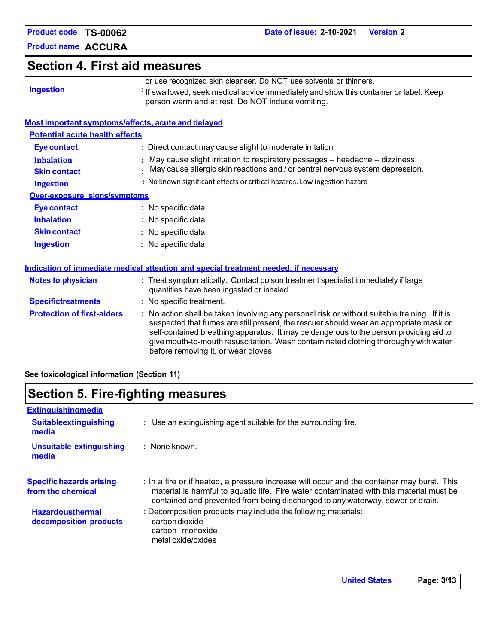**Product name ACCURA**

# **Section 4. First aid measures**

|  | <b>Ingestion</b> |  |  |
|--|------------------|--|--|
|  |                  |  |  |

or use recognized skin cleanser. Do NOT use solvents or thinners. **If swallowed, seek medical advice immediately and show this container or label. Keep** 

person warm and at rest. Do NOT induce vomiting.

### **Most important symptoms/effects, acute and delayed**

| <b>Potential acute health effects</b>    |                                                                                                                                                                  |
|------------------------------------------|------------------------------------------------------------------------------------------------------------------------------------------------------------------|
| Eye contact                              | : Direct contact may cause slight to moderate irritation                                                                                                         |
| <b>Inhalation</b><br><b>Skin contact</b> | : May cause slight irritation to respiratory passages – headache – dizziness.<br>. May cause allergic skin reactions and / or central nervous system depression. |
| <b>Ingestion</b>                         | : No known significant effects or critical hazards. Low ingestion hazard                                                                                         |
| Over-exposure signs/symptoms             |                                                                                                                                                                  |
| <b>Eye contact</b>                       | $:$ No specific data.                                                                                                                                            |
| <b>Inhalation</b>                        | $:$ No specific data.                                                                                                                                            |
| <b>Skin contact</b>                      | $:$ No specific data.                                                                                                                                            |
| <b>Ingestion</b>                         | : No specific data.                                                                                                                                              |

| Indication of immediate medical attention and special treatment needed, if necessary |
|--------------------------------------------------------------------------------------|
|--------------------------------------------------------------------------------------|

| <b>Notes to physician</b>         | : Treat symptomatically. Contact poison treatment specialist immediately if large<br>quantities have been ingested or inhaled.                                                                                                                                                                                                                                                                                  |
|-----------------------------------|-----------------------------------------------------------------------------------------------------------------------------------------------------------------------------------------------------------------------------------------------------------------------------------------------------------------------------------------------------------------------------------------------------------------|
| <b>Specifictreatments</b>         | : No specific treatment.                                                                                                                                                                                                                                                                                                                                                                                        |
| <b>Protection of first-aiders</b> | : No action shall be taken involving any personal risk or without suitable training. If it is<br>suspected that fumes are still present, the rescuer should wear an appropriate mask or<br>self-contained breathing apparatus. It may be dangerous to the person providing aid to<br>give mouth-to-mouth resuscitation. Wash contaminated clothing thoroughly with water<br>before removing it, or wear gloves. |

**See toxicological information (Section 11)**

# **Section 5. Fire-fighting measures**

| : Use an extinguishing agent suitable for the surrounding fire.                                                                                                                                                                                                         |
|-------------------------------------------------------------------------------------------------------------------------------------------------------------------------------------------------------------------------------------------------------------------------|
| $:$ None known.                                                                                                                                                                                                                                                         |
| : In a fire or if heated, a pressure increase will occur and the container may burst. This<br>material is harmful to aquatic life. Fire water contaminated with this material must be<br>contained and prevented from being discharged to any waterway, sewer or drain. |
| : Decomposition products may include the following materials:<br>carbon dioxide<br>carbon monoxide                                                                                                                                                                      |
|                                                                                                                                                                                                                                                                         |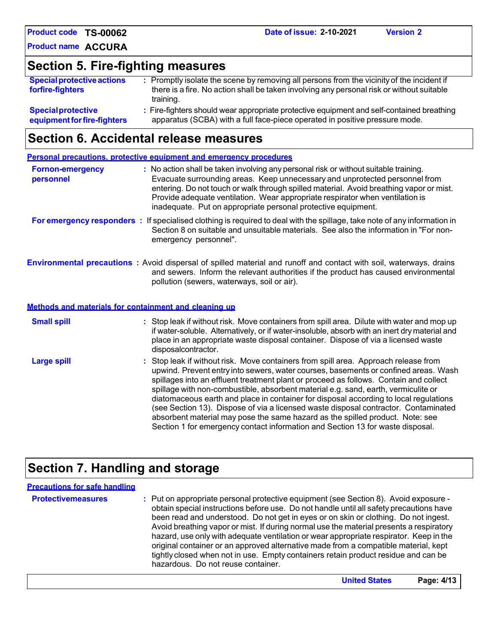**Section 5. Fire-fighting measures**

| <b>Special protective actions</b><br>forfire-fighters | : Promptly isolate the scene by removing all persons from the vicinity of the incident if<br>there is a fire. No action shall be taken involving any personal risk or without suitable<br>training. |
|-------------------------------------------------------|-----------------------------------------------------------------------------------------------------------------------------------------------------------------------------------------------------|
| <b>Special protective</b>                             | : Fire-fighters should wear appropriate protective equipment and self-contained breathing                                                                                                           |
| equipment for fire-fighters                           | apparatus (SCBA) with a full face-piece operated in positive pressure mode.                                                                                                                         |

# **Section 6. Accidental release measures**

|                                      | Personal precautions, protective equipment and emergency procedures                                                                                                                                                                                                                                                                                                                                                                                                                                                                                                                                                                                                                                          |
|--------------------------------------|--------------------------------------------------------------------------------------------------------------------------------------------------------------------------------------------------------------------------------------------------------------------------------------------------------------------------------------------------------------------------------------------------------------------------------------------------------------------------------------------------------------------------------------------------------------------------------------------------------------------------------------------------------------------------------------------------------------|
| <b>Fornon-emergency</b><br>personnel | : No action shall be taken involving any personal risk or without suitable training.<br>Evacuate surrounding areas. Keep unnecessary and unprotected personnel from<br>entering. Do not touch or walk through spilled material. Avoid breathing vapor or mist.<br>Provide adequate ventilation. Wear appropriate respirator when ventilation is<br>inadequate. Put on appropriate personal protective equipment.                                                                                                                                                                                                                                                                                             |
|                                      | For emergency responders : If specialised clothing is required to deal with the spillage, take note of any information in<br>Section 8 on suitable and unsuitable materials. See also the information in "For non-<br>emergency personnel".                                                                                                                                                                                                                                                                                                                                                                                                                                                                  |
|                                      | <b>Environmental precautions</b> : Avoid dispersal of spilled material and runoff and contact with soil, waterways, drains<br>and sewers. Inform the relevant authorities if the product has caused environmental<br>pollution (sewers, waterways, soil or air).                                                                                                                                                                                                                                                                                                                                                                                                                                             |
|                                      | Methods and materials for containment and cleaning up                                                                                                                                                                                                                                                                                                                                                                                                                                                                                                                                                                                                                                                        |
| <b>Small spill</b>                   | : Stop leak if without risk. Move containers from spill area. Dilute with water and mop up<br>if water-soluble. Alternatively, or if water-insoluble, absorb with an inert dry material and<br>place in an appropriate waste disposal container. Dispose of via a licensed waste<br>disposalcontractor.                                                                                                                                                                                                                                                                                                                                                                                                      |
| <b>Large spill</b>                   | : Stop leak if without risk. Move containers from spill area. Approach release from<br>upwind. Prevent entry into sewers, water courses, basements or confined areas. Wash<br>spillages into an effluent treatment plant or proceed as follows. Contain and collect<br>spillage with non-combustible, absorbent material e.g. sand, earth, vermiculite or<br>diatomaceous earth and place in container for disposal according to local regulations<br>(see Section 13). Dispose of via a licensed waste disposal contractor. Contaminated<br>absorbent material may pose the same hazard as the spilled product. Note: see<br>Section 1 for emergency contact information and Section 13 for waste disposal. |

# **Section 7. Handling and storage**

| <b>Precautions for safe handling</b> |                                                                                                                                                                                                                                                                                                                                                                                                                                                                                                                                                                                                                                                                                |
|--------------------------------------|--------------------------------------------------------------------------------------------------------------------------------------------------------------------------------------------------------------------------------------------------------------------------------------------------------------------------------------------------------------------------------------------------------------------------------------------------------------------------------------------------------------------------------------------------------------------------------------------------------------------------------------------------------------------------------|
| <b>Protectivemeasures</b>            | : Put on appropriate personal protective equipment (see Section 8). Avoid exposure -<br>obtain special instructions before use. Do not handle until all safety precautions have<br>been read and understood. Do not get in eyes or on skin or clothing. Do not ingest.<br>Avoid breathing vapor or mist. If during normal use the material presents a respiratory<br>hazard, use only with adequate ventilation or wear appropriate respirator. Keep in the<br>original container or an approved alternative made from a compatible material, kept<br>tightly closed when not in use. Empty containers retain product residue and can be<br>hazardous. Do not reuse container. |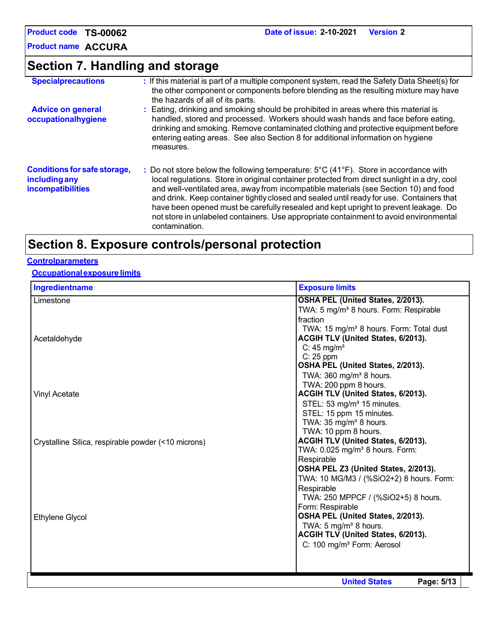**Product name ACCURA**

# **Section 7. Handling and storage**

| <b>Specialprecautions</b>                                                 | : If this material is part of a multiple component system, read the Safety Data Sheet(s) for<br>the other component or components before blending as the resulting mixture may have<br>the hazards of all of its parts.                                                                                                                                                                                                                                                                                                                                                                         |
|---------------------------------------------------------------------------|-------------------------------------------------------------------------------------------------------------------------------------------------------------------------------------------------------------------------------------------------------------------------------------------------------------------------------------------------------------------------------------------------------------------------------------------------------------------------------------------------------------------------------------------------------------------------------------------------|
| <b>Advice on general</b><br>occupationalhygiene                           | : Eating, drinking and smoking should be prohibited in areas where this material is<br>handled, stored and processed. Workers should wash hands and face before eating,<br>drinking and smoking. Remove contaminated clothing and protective equipment before<br>entering eating areas. See also Section 8 for additional information on hygiene<br>measures.                                                                                                                                                                                                                                   |
| <b>Conditions for safe storage,</b><br>including any<br>incompatibilities | : Do not store below the following temperature: $5^{\circ}$ C (41 $^{\circ}$ F). Store in accordance with<br>local regulations. Store in original container protected from direct sunlight in a dry, cool<br>and well-ventilated area, away from incompatible materials (see Section 10) and food<br>and drink. Keep container tightly closed and sealed until ready for use. Containers that<br>have been opened must be carefully resealed and kept upright to prevent leakage. Do<br>not store in unlabeled containers. Use appropriate containment to avoid environmental<br>contamination. |

# **Section 8. Exposure controls/personal protection**

### **Controlparameters**

### **Occupationalexposurelimits**

| Ingredientname<br><b>Exposure limits</b>            |                                                                                                                                                                                                                                                                                                                     |  |
|-----------------------------------------------------|---------------------------------------------------------------------------------------------------------------------------------------------------------------------------------------------------------------------------------------------------------------------------------------------------------------------|--|
| Limestone                                           | OSHA PEL (United States, 2/2013).<br>TWA: 5 mg/m <sup>3</sup> 8 hours. Form: Respirable                                                                                                                                                                                                                             |  |
| Acetaldehyde                                        | fraction<br>TWA: 15 mg/m <sup>3</sup> 8 hours. Form: Total dust<br>ACGIH TLV (United States, 6/2013).<br>C: $45 \text{ mg/m}^3$<br>$C: 25$ ppm<br>OSHA PEL (United States, 2/2013).                                                                                                                                 |  |
| Vinyl Acetate                                       | TWA: $360$ mg/m <sup>3</sup> 8 hours.<br>TWA: 200 ppm 8 hours.<br>ACGIH TLV (United States, 6/2013).<br>STEL: 53 mg/m <sup>3</sup> 15 minutes.<br>STEL: 15 ppm 15 minutes.<br>TWA: 35 mg/m <sup>3</sup> 8 hours.                                                                                                    |  |
| Crystalline Silica, respirable powder (<10 microns) | TWA: 10 ppm 8 hours.<br>ACGIH TLV (United States, 6/2013).<br>TWA: 0.025 mg/m <sup>3</sup> 8 hours. Form:<br>Respirable                                                                                                                                                                                             |  |
| Ethylene Glycol                                     | OSHA PEL Z3 (United States, 2/2013).<br>TWA: 10 MG/M3 / (%SiO2+2) 8 hours. Form:<br>Respirable<br>TWA: 250 MPPCF / (%SiO2+5) 8 hours.<br>Form: Respirable<br>OSHA PEL (United States, 2/2013).<br>TWA: 5 mg/m <sup>3</sup> 8 hours.<br>ACGIH TLV (United States, 6/2013).<br>C: 100 mg/m <sup>3</sup> Form: Aerosol |  |
|                                                     | <b>United States</b><br>Page: 5/13                                                                                                                                                                                                                                                                                  |  |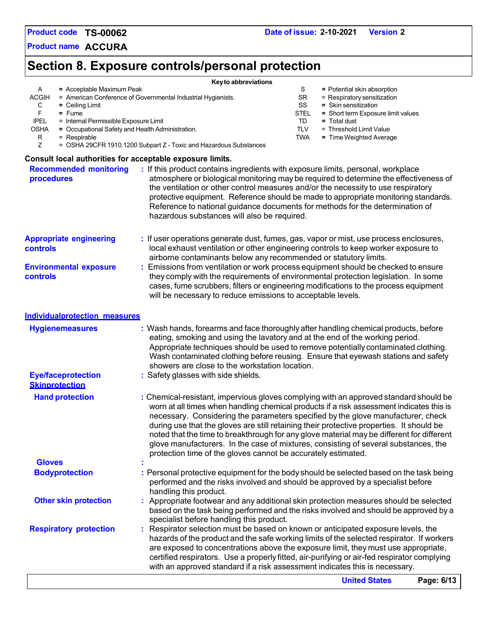**Product name ACCURA**

# **Section 8. Exposure controls/personal protection**

| A<br>= Acceptable Maximum Peak<br>ACGIH<br>C<br>$=$ Ceiling Limit<br>F<br>$=$ Fume<br><b>IPEL</b><br>= Internal Permissible Exposure Limit<br>OSHA<br>= Occupational Safety and Health Administration.<br>= Respirable<br>R<br>Ζ | Key to abbreviations<br>= American Conference of Governmental Industrial Hygienists.<br>= OSHA 29CFR 1910.1200 Subpart Z - Toxic and Hazardous Substances                                                                                                                                                                                                                                                                                                                                                                                                                                                              | S<br>SR<br>SS<br><b>STEL</b><br>TD<br><b>TLV</b><br><b>TWA</b> | = Potential skin absorption<br>= Respiratory sensitization<br>= Skin sensitization<br>= Short term Exposure limit values<br>$=$ Total dust<br>= Threshold Limit Value<br>= Time Weighted Average |            |
|----------------------------------------------------------------------------------------------------------------------------------------------------------------------------------------------------------------------------------|------------------------------------------------------------------------------------------------------------------------------------------------------------------------------------------------------------------------------------------------------------------------------------------------------------------------------------------------------------------------------------------------------------------------------------------------------------------------------------------------------------------------------------------------------------------------------------------------------------------------|----------------------------------------------------------------|--------------------------------------------------------------------------------------------------------------------------------------------------------------------------------------------------|------------|
| Consult local authorities for acceptable exposure limits.<br><b>Recommended monitoring</b><br>procedures                                                                                                                         | : If this product contains ingredients with exposure limits, personal, workplace<br>atmosphere or biological monitoring may be required to determine the effectiveness of<br>the ventilation or other control measures and/or the necessity to use respiratory<br>protective equipment. Reference should be made to appropriate monitoring standards.<br>Reference to national guidance documents for methods for the determination of<br>hazardous substances will also be required.                                                                                                                                  |                                                                |                                                                                                                                                                                                  |            |
| <b>Appropriate engineering</b><br>controls<br><b>Environmental exposure</b><br><b>controls</b>                                                                                                                                   | : If user operations generate dust, fumes, gas, vapor or mist, use process enclosures,<br>local exhaust ventilation or other engineering controls to keep worker exposure to<br>airborne contaminants below any recommended or statutory limits.<br>Emissions from ventilation or work process equipment should be checked to ensure<br>they comply with the requirements of environmental protection legislation. In some<br>cases, fume scrubbers, filters or engineering modifications to the process equipment<br>will be necessary to reduce emissions to acceptable levels.                                      |                                                                |                                                                                                                                                                                                  |            |
| <b>Individualprotection measures</b>                                                                                                                                                                                             |                                                                                                                                                                                                                                                                                                                                                                                                                                                                                                                                                                                                                        |                                                                |                                                                                                                                                                                                  |            |
| <b>Hygienemeasures</b><br><b>Eye/faceprotection</b>                                                                                                                                                                              | : Wash hands, forearms and face thoroughly after handling chemical products, before<br>eating, smoking and using the lavatory and at the end of the working period.<br>Appropriate techniques should be used to remove potentially contaminated clothing.<br>Wash contaminated clothing before reusing. Ensure that eyewash stations and safety<br>showers are close to the workstation location.<br>: Safety glasses with side shields.                                                                                                                                                                               |                                                                |                                                                                                                                                                                                  |            |
| <b>Skinprotection</b>                                                                                                                                                                                                            |                                                                                                                                                                                                                                                                                                                                                                                                                                                                                                                                                                                                                        |                                                                |                                                                                                                                                                                                  |            |
| <b>Hand protection</b>                                                                                                                                                                                                           | : Chemical-resistant, impervious gloves complying with an approved standard should be<br>worn at all times when handling chemical products if a risk assessment indicates this is<br>necessary. Considering the parameters specified by the glove manufacturer, check<br>during use that the gloves are still retaining their protective properties. It should be<br>noted that the time to breakthrough for any glove material may be different for different<br>glove manufacturers. In the case of mixtures, consisting of several substances, the<br>protection time of the gloves cannot be accurately estimated. |                                                                |                                                                                                                                                                                                  |            |
| <b>Gloves</b>                                                                                                                                                                                                                    |                                                                                                                                                                                                                                                                                                                                                                                                                                                                                                                                                                                                                        |                                                                |                                                                                                                                                                                                  |            |
| <b>Bodyprotection</b>                                                                                                                                                                                                            | : Personal protective equipment for the body should be selected based on the task being<br>performed and the risks involved and should be approved by a specialist before<br>handling this product.                                                                                                                                                                                                                                                                                                                                                                                                                    |                                                                |                                                                                                                                                                                                  |            |
| <b>Other skin protection</b>                                                                                                                                                                                                     | : Appropriate footwear and any additional skin protection measures should be selected<br>based on the task being performed and the risks involved and should be approved by a<br>specialist before handling this product.                                                                                                                                                                                                                                                                                                                                                                                              |                                                                |                                                                                                                                                                                                  |            |
| <b>Respiratory protection</b>                                                                                                                                                                                                    | : Respirator selection must be based on known or anticipated exposure levels, the<br>hazards of the product and the safe working limits of the selected respirator. If workers<br>are exposed to concentrations above the exposure limit, they must use appropriate,<br>certified respirators. Use a properly fitted, air-purifying or air-fed respirator complying<br>with an approved standard if a risk assessment indicates this is necessary.                                                                                                                                                                     |                                                                |                                                                                                                                                                                                  |            |
|                                                                                                                                                                                                                                  |                                                                                                                                                                                                                                                                                                                                                                                                                                                                                                                                                                                                                        |                                                                | <b>United States</b>                                                                                                                                                                             | Page: 6/13 |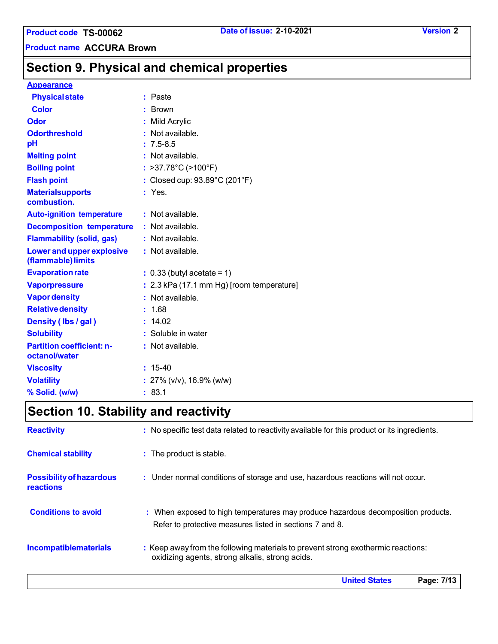**Product name ACCURA Brown**

# **Section 9. Physical and chemical properties**

## **Appearance**

| <b>Physical state</b>                             | : Paste                                     |
|---------------------------------------------------|---------------------------------------------|
| <b>Color</b>                                      | : Brown                                     |
| Odor                                              | : Mild Acrylic                              |
| <b>Odorthreshold</b>                              | Not available.                              |
| pH                                                | $: 7.5 - 8.5$                               |
| <b>Melting point</b>                              | : Not available.                            |
| <b>Boiling point</b>                              | : >37.78°C (>100°F)                         |
| <b>Flash point</b>                                | : Closed cup: 93.89°C (201°F)               |
| <b>Materialsupports</b><br>combustion.            | $:$ Yes.                                    |
| <b>Auto-ignition temperature</b>                  | $:$ Not available.                          |
| <b>Decomposition temperature</b>                  | $:$ Not available.                          |
| <b>Flammability (solid, gas)</b>                  | : Not available.                            |
| Lower and upper explosive<br>(flammable) limits   | : Not available.                            |
| <b>Evaporation rate</b>                           | $: 0.33$ (butyl acetate = 1)                |
| <b>Vaporpressure</b>                              | $: 2.3$ kPa (17.1 mm Hg) [room temperature] |
| <b>Vapor density</b>                              | : Not available.                            |
| <b>Relative density</b>                           | : 1.68                                      |
| Density (Ibs / gal)                               | : 14.02                                     |
| <b>Solubility</b>                                 | : Soluble in water                          |
| <b>Partition coefficient: n-</b><br>octanol/water | : Not available.                            |
| <b>Viscosity</b>                                  | $: 15-40$                                   |
| <b>Volatility</b>                                 | : $27\%$ (v/v), 16.9% (w/w)                 |
| % Solid. (w/w)                                    | : 83.1                                      |

# **Section 10. Stability and reactivity**

| <b>Reactivity</b>                            | : No specific test data related to reactivity available for this product or its ingredients.                                                  |
|----------------------------------------------|-----------------------------------------------------------------------------------------------------------------------------------------------|
| <b>Chemical stability</b>                    | : The product is stable.                                                                                                                      |
| <b>Possibility of hazardous</b><br>reactions | : Under normal conditions of storage and use, hazardous reactions will not occur.                                                             |
| <b>Conditions to avoid</b>                   | : When exposed to high temperatures may produce hazardous decomposition products.<br>Refer to protective measures listed in sections 7 and 8. |
| <b>Incompatiblematerials</b>                 | : Keep away from the following materials to prevent strong exothermic reactions:<br>oxidizing agents, strong alkalis, strong acids.           |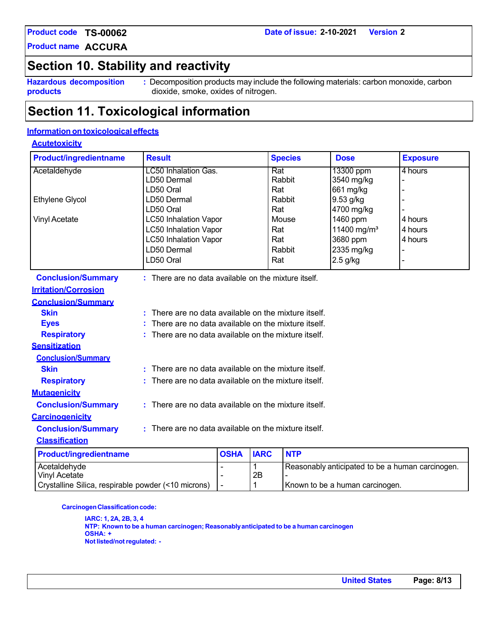**Product name ACCURA**

# **Section 10. Stability and reactivity**

**Hazardous decomposition products**

**:** Decomposition products may include the following materials: carbon monoxide, carbon dioxide, smoke, oxides of nitrogen.

# **Section 11. Toxicological information**

# **Information on toxicological effects**

### **Acutetoxicity**

| <b>Product/ingredientname</b> | <b>Result</b>                                          |                                                    |             | <b>Species</b> | <b>Dose</b>                                      | <b>Exposure</b> |  |
|-------------------------------|--------------------------------------------------------|----------------------------------------------------|-------------|----------------|--------------------------------------------------|-----------------|--|
| Acetaldehyde                  | <b>LC50 Inhalation Gas.</b>                            |                                                    | Rat         |                | 13300 ppm                                        | 4 hours         |  |
|                               | LD50 Dermal                                            |                                                    |             | Rabbit         | 3540 mg/kg                                       |                 |  |
|                               | LD50 Oral                                              |                                                    | Rat         |                | 661 mg/kg                                        |                 |  |
| <b>Ethylene Glycol</b>        | LD50 Dermal                                            |                                                    |             | Rabbit         | 9.53 g/kg                                        |                 |  |
|                               | LD50 Oral                                              |                                                    | Rat         |                | 4700 mg/kg                                       |                 |  |
| <b>Vinyl Acetate</b>          | <b>LC50 Inhalation Vapor</b>                           |                                                    |             | Mouse          | 1460 ppm                                         | 4 hours         |  |
|                               | <b>LC50 Inhalation Vapor</b>                           |                                                    | Rat         |                | 11400 mg/m <sup>3</sup>                          | 4 hours         |  |
|                               | <b>LC50 Inhalation Vapor</b>                           |                                                    | Rat         |                | 3680 ppm                                         | 4 hours         |  |
|                               | LD50 Dermal                                            |                                                    |             | Rabbit         | 2335 mg/kg                                       |                 |  |
|                               | LD50 Oral                                              |                                                    | Rat         |                | $2.5$ g/kg                                       |                 |  |
| <b>Conclusion/Summary</b>     | : There are no data available on the mixture itself.   |                                                    |             |                |                                                  |                 |  |
| <b>Irritation/Corrosion</b>   |                                                        |                                                    |             |                |                                                  |                 |  |
| <b>Conclusion/Summary</b>     |                                                        |                                                    |             |                |                                                  |                 |  |
| <b>Skin</b>                   | ÷                                                      | There are no data available on the mixture itself. |             |                |                                                  |                 |  |
| <b>Eyes</b>                   |                                                        | There are no data available on the mixture itself. |             |                |                                                  |                 |  |
| <b>Respiratory</b>            |                                                        | There are no data available on the mixture itself. |             |                |                                                  |                 |  |
| <b>Sensitization</b>          |                                                        |                                                    |             |                |                                                  |                 |  |
| <b>Conclusion/Summary</b>     |                                                        |                                                    |             |                |                                                  |                 |  |
| <b>Skin</b>                   | There are no data available on the mixture itself.     |                                                    |             |                |                                                  |                 |  |
| <b>Respiratory</b>            | There are no data available on the mixture itself.     |                                                    |             |                |                                                  |                 |  |
| <b>Mutagenicity</b>           |                                                        |                                                    |             |                |                                                  |                 |  |
| <b>Conclusion/Summary</b>     | : There are no data available on the mixture itself.   |                                                    |             |                |                                                  |                 |  |
| <b>Carcinogenicity</b>        |                                                        |                                                    |             |                |                                                  |                 |  |
| <b>Conclusion/Summary</b>     | $:$ There are no data available on the mixture itself. |                                                    |             |                |                                                  |                 |  |
| <b>Classification</b>         |                                                        |                                                    |             |                |                                                  |                 |  |
| <b>Product/ingredientname</b> |                                                        | <b>OSHA</b>                                        | <b>IARC</b> | <b>NTP</b>     |                                                  |                 |  |
| Acetaldehyde                  |                                                        |                                                    | 1           |                | Reasonably anticipated to be a human carcinogen. |                 |  |

| <b>ACCIQIUCITIVUC</b>                               |  | TREASONADH ANNGIQACU tO DE A NUMAN CAIGH |
|-----------------------------------------------------|--|------------------------------------------|
| Vinyl Acetate                                       |  |                                          |
| Crystalline Silica, respirable powder (<10 microns) |  | <b>IKnown to be a human carcinogen.</b>  |

**Carcinogen Classification code:** 

**IARC: 1, 2A, 2B, 3, 4 NTP: Known to be a human carcinogen; Reasonablyanticipated to be a human carcinogen OSHA: + Notlisted/notregulated: -**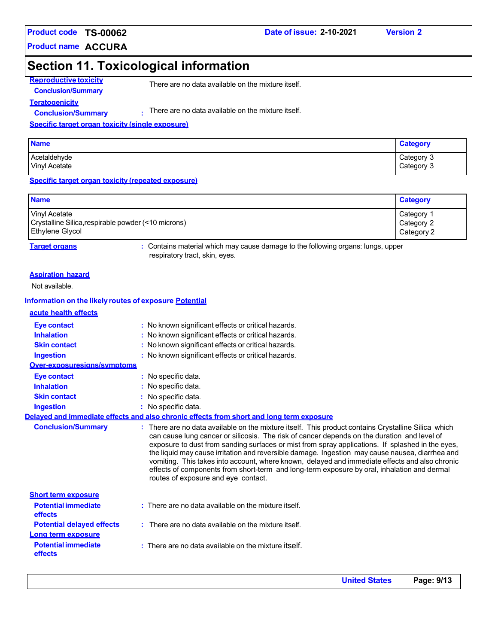**Product name ACCURA**

### **Date of issue: 2-10-2021 Version 2**

# **Section 11. Toxicological information**

**Reproductive toxicity Conclusion/Summary**

There are no data available on the mixture itself.

**Teratogenicity Conclusion/Summary :**

There are no data available on the mixture itself.

#### **Specific target organ toxicity (single exposure)**

| <b>Name</b>          | <b>Category</b> |
|----------------------|-----------------|
| Acetaldehyde         | Category 3      |
| <b>Vinyl Acetate</b> | Category 3      |

**Specific target organ toxicity (repeated exposure)**

| <b>Name</b>                                         | <b>Category</b> |
|-----------------------------------------------------|-----------------|
| Vinyl Acetate                                       | Category 1      |
| Crystalline Silica, respirable powder (<10 microns) | Category 2      |
| Ethylene Glycol                                     | Category 2      |

**Target organs :** Contains material which may cause damage to the following organs: lungs, upper respiratory tract, skin, eyes.

#### **Aspiration hazard**

Not available.

#### **Information on the likely routes of exposure Potential**

|  | acute health effects |
|--|----------------------|
|  |                      |

| Eye contact                           | : No known significant effects or critical hazards.                                                                                                                                                                                                                                                                                                                                                                                                                                                                                                                                                                                               |
|---------------------------------------|---------------------------------------------------------------------------------------------------------------------------------------------------------------------------------------------------------------------------------------------------------------------------------------------------------------------------------------------------------------------------------------------------------------------------------------------------------------------------------------------------------------------------------------------------------------------------------------------------------------------------------------------------|
| <b>Inhalation</b>                     | : No known significant effects or critical hazards.                                                                                                                                                                                                                                                                                                                                                                                                                                                                                                                                                                                               |
| <b>Skin contact</b>                   | : No known significant effects or critical hazards.                                                                                                                                                                                                                                                                                                                                                                                                                                                                                                                                                                                               |
| <b>Ingestion</b>                      | : No known significant effects or critical hazards.                                                                                                                                                                                                                                                                                                                                                                                                                                                                                                                                                                                               |
| Over-exposuresigns/symptoms           |                                                                                                                                                                                                                                                                                                                                                                                                                                                                                                                                                                                                                                                   |
| <b>Eye contact</b>                    | : No specific data.                                                                                                                                                                                                                                                                                                                                                                                                                                                                                                                                                                                                                               |
| <b>Inhalation</b>                     | : No specific data.                                                                                                                                                                                                                                                                                                                                                                                                                                                                                                                                                                                                                               |
| <b>Skin contact</b>                   | : No specific data.                                                                                                                                                                                                                                                                                                                                                                                                                                                                                                                                                                                                                               |
| <b>Ingestion</b>                      | : No specific data.                                                                                                                                                                                                                                                                                                                                                                                                                                                                                                                                                                                                                               |
|                                       | Delaved and immediate effects and also chronic effects from short and long term exposure                                                                                                                                                                                                                                                                                                                                                                                                                                                                                                                                                          |
| <b>Conclusion/Summary</b>             | : There are no data available on the mixture itself. This product contains Crystalline Silica which<br>can cause lung cancer or silicosis. The risk of cancer depends on the duration and level of<br>exposure to dust from sanding surfaces or mist from spray applications. If splashed in the eyes,<br>the liquid may cause irritation and reversible damage. Ingestion may cause nausea, diarrhea and<br>vomiting. This takes into account, where known, delayed and immediate effects and also chronic<br>effects of components from short-term and long-term exposure by oral, inhalation and dermal<br>routes of exposure and eye contact. |
| <b>Short term exposure</b>            |                                                                                                                                                                                                                                                                                                                                                                                                                                                                                                                                                                                                                                                   |
| <b>Potential immediate</b><br>effects | : There are no data available on the mixture itself.                                                                                                                                                                                                                                                                                                                                                                                                                                                                                                                                                                                              |
| <b>Potential delayed effects</b>      | : There are no data available on the mixture itself.                                                                                                                                                                                                                                                                                                                                                                                                                                                                                                                                                                                              |
| Long term exposure                    |                                                                                                                                                                                                                                                                                                                                                                                                                                                                                                                                                                                                                                                   |
| <b>Potential immediate</b><br>effects | $:$ There are no data available on the mixture itself.                                                                                                                                                                                                                                                                                                                                                                                                                                                                                                                                                                                            |
|                                       |                                                                                                                                                                                                                                                                                                                                                                                                                                                                                                                                                                                                                                                   |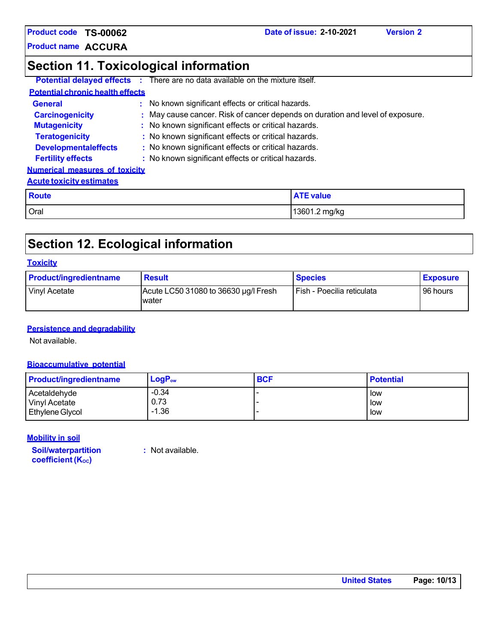**Product name ACCURA**

# **Section 11. Toxicological information**

|                                         | <b>Potential delayed effects :</b> There are no data available on the mixture itself. |
|-----------------------------------------|---------------------------------------------------------------------------------------|
| <b>Potential chronic health effects</b> |                                                                                       |
| <b>General</b>                          | : No known significant effects or critical hazards.                                   |
| <b>Carcinogenicity</b>                  | : May cause cancer. Risk of cancer depends on duration and level of exposure.         |
| <b>Mutagenicity</b>                     | : No known significant effects or critical hazards.                                   |
| <b>Teratogenicity</b>                   | : No known significant effects or critical hazards.                                   |
| <b>Developmentaleffects</b>             | : No known significant effects or critical hazards.                                   |
| <b>Fertility effects</b>                | : No known significant effects or critical hazards.                                   |
| <b>Numerical measures of toxicity</b>   |                                                                                       |
| <b>Acute toxicity estimates</b>         |                                                                                       |
| <b>Route</b>                            | <b>ATF value</b>                                                                      |

**Date of issue: 2-10-2021 Version 2**

| <b>Route</b> | <b>ATE value</b> |
|--------------|------------------|
| <b>Oral</b>  | 13601.2 mg/kg    |

# **Section 12. Ecological information**

### **Toxicity**

| <b>Product/ingredientname</b> | <b>Result</b>                                 | <b>Species</b>             | <b>Exposure</b> |
|-------------------------------|-----------------------------------------------|----------------------------|-----------------|
| Vinyl Acetate                 | Acute LC50 31080 to 36630 µg/l Fresh<br>water | Fish - Poecilia reticulata | 96 hours        |

### **Persistence and degradability**

Not available.

### **Bioaccumulative potential**

| <b>Product/ingredientname</b> | $LogP_{ow}$ | <b>BCF</b> | <b>Potential</b> |
|-------------------------------|-------------|------------|------------------|
| Acetaldehyde                  | $-0.34$     |            | l low            |
| Vinyl Acetate                 | 0.73        |            | l low            |
| <b>Ethylene Glycol</b>        | $-1.36$     |            | l low            |

### **Mobility in soil**

**Soil/waterpartition coefficient** (Koc)

**:** Not available.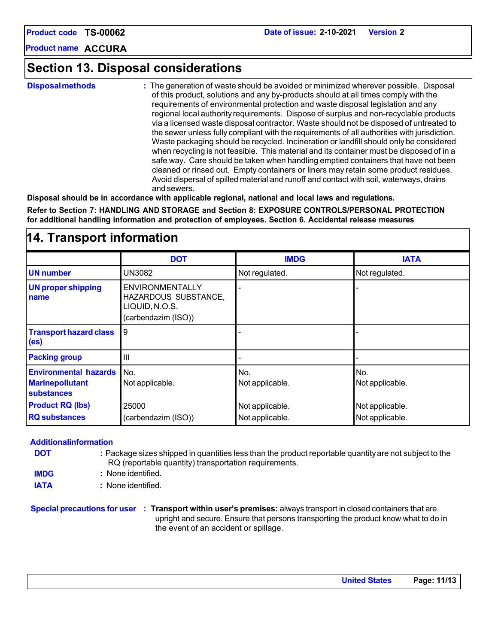**TS-00062**

**ACCURA Product name**

# **Section 13. Disposal considerations**

**Disposalmethods :** The generation of waste should be avoided or minimized wherever possible. Disposal of this product, solutions and any by-products should at all times comply with the requirements of environmental protection and waste disposal legislation and any regional local authorityrequirements. Dispose of surplus and non-recyclable products via a licensed waste disposal contractor. Waste should not be disposed of untreated to the sewer unless fully compliant with the requirements of all authorities with jurisdiction. Waste packaging should be recycled. Incineration or landfill should only be considered when recycling is not feasible. This material and its container must be disposed of in a safe way. Care should be taken when handling emptied containers that have not been cleaned or rinsed out. Empty containers or liners may retain some product residues. Avoid dispersal of spilled material and runoff and contact with soil, waterways, drains and sewers.

**Disposal should be in accordance with applicable regional, national and local laws and regulations.**

**Refer to Section 7: HANDLING AND STORAGE and Section 8: EXPOSURE CONTROLS/PERSONAL PROTECTION for additional handling information and protection of employees. Section 6. Accidental release measures**

| $1.1$ . Hansport monitorion                                                 |                                                                                         |                                    |                                    |  |  |
|-----------------------------------------------------------------------------|-----------------------------------------------------------------------------------------|------------------------------------|------------------------------------|--|--|
|                                                                             | <b>DOT</b>                                                                              | <b>IMDG</b>                        | <b>IATA</b>                        |  |  |
| <b>UN number</b>                                                            | <b>UN3082</b>                                                                           | Not regulated.                     | Not regulated.                     |  |  |
| <b>UN proper shipping</b><br>name                                           | <b>ENVIRONMENTALLY</b><br>HAZARDOUS SUBSTANCE,<br>LIQUID, N.O.S.<br>(carbendazim (ISO)) |                                    |                                    |  |  |
| <b>Transport hazard class</b><br>(es)                                       | 9                                                                                       |                                    |                                    |  |  |
| <b>Packing group</b>                                                        | $\mathbf{III}$                                                                          |                                    |                                    |  |  |
| <b>Environmental hazards</b><br><b>Marinepollutant</b><br><b>substances</b> | INo.<br>Not applicable.                                                                 | No.<br>Not applicable.             | No.<br>Not applicable.             |  |  |
| <b>Product RQ (lbs)</b><br><b>RQ substances</b>                             | 25000<br>(carbendazim (ISO))                                                            | Not applicable.<br>Not applicable. | Not applicable.<br>Not applicable. |  |  |

# **14. Transport information**

### **Additionalinformation**

- **DOT :** Package sizes shipped in quantities less than the product reportable quantityare not subject to the RQ (reportable quantity) transportation requirements.
- **IMDG :** None identified.
- **IATA :** None identified.

**Special precautions for user : Transport within user's premises:** always transport in closed containers that are upright and secure. Ensure that persons transporting the product know what to do in the event of an accident or spillage.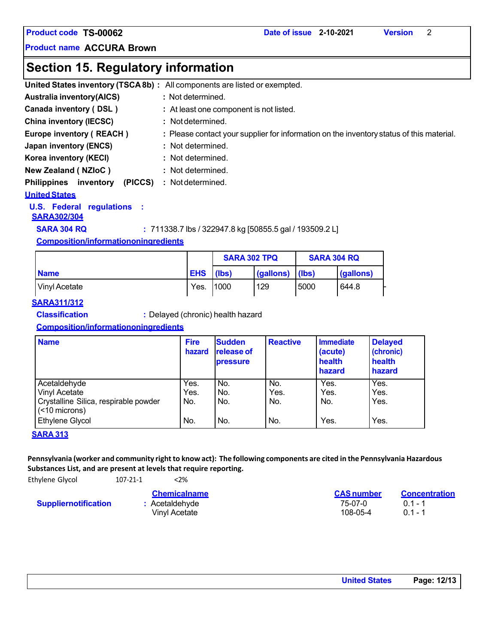**Product name ACCURA Brown**

# **Section 15. Regulatory information**

|                                            | United States inventory (TSCA8b) : All components are listed or exempted.                |
|--------------------------------------------|------------------------------------------------------------------------------------------|
| <b>Australia inventory(AICS)</b>           | : Not determined.                                                                        |
| Canada inventory (DSL)                     | : At least one component is not listed.                                                  |
| <b>China inventory (IECSC)</b>             | : Not determined.                                                                        |
| Europe inventory (REACH)                   | : Please contact your supplier for information on the inventory status of this material. |
| Japan inventory (ENCS)                     | : Not determined.                                                                        |
| Korea inventory (KECI)                     | : Not determined.                                                                        |
| <b>New Zealand (NZIoC)</b>                 | : Not determined.                                                                        |
| <b>Philippines</b><br>(PICCS)<br>inventory | : Not determined.                                                                        |
| <b>United States</b>                       |                                                                                          |

### **U.S. Federal regulations :**

### **SARA302/304**

**SARA 304 RQ :** 711338.7 lbs / 322947.8 kg [50855.5 gal / 193509.2 L]

### **Composition/informationoningredients**

|               |            | <b>SARA 302 TPQ</b> |           | <b>SARA 304 RQ</b> |           |
|---------------|------------|---------------------|-----------|--------------------|-----------|
| <b>Name</b>   | <b>EHS</b> | (lbs)               | (gallons) | llbs)              | (gallons) |
| Vinyl Acetate | Yes.       | 11000               | 129       | 5000               | 644.8     |

### **SARA311/312**

**Classification :** Delayed (chronic) health hazard

### **Composition/informationoningredients**

| <b>Name</b>                                                                                                                 | <b>Fire</b><br>hazard      | <b>Sudden</b><br><b>release of</b><br>pressure | <b>Reactive</b>           | <b>Immediate</b><br>(acute)<br>health<br>hazard | <b>Delayed</b><br>(chronic)<br>health<br>hazard |
|-----------------------------------------------------------------------------------------------------------------------------|----------------------------|------------------------------------------------|---------------------------|-------------------------------------------------|-------------------------------------------------|
| Acetaldehyde<br><b>Vinyl Acetate</b><br>Crystalline Silica, respirable powder<br>$(< 10$ microns)<br><b>Ethylene Glycol</b> | Yes.<br>Yes.<br>No.<br>No. | No.<br>No.<br>No.<br>No.                       | No.<br>Yes.<br>No.<br>No. | Yes.<br>Yes.<br>No.<br>Yes.                     | Yes.<br>Yes.<br>Yes.<br>Yes.                    |

### **SARA 313**

Pennsylvania (worker and community right to know act): The following components are cited in the Pennsylvania Hazardous **Substances List, and are present at levels that require reporting.**

Ethylene Glycol 107-2

| $21 - 1$ | < 2% |  |
|----------|------|--|

### **Suppliernotification**

| <b>CAS</b> number | <b>Concentration</b> |
|-------------------|----------------------|
| 75-07-0           | $01 - 1$             |
| 108-05-4          | $01 - 1$             |
|                   |                      |

| <b>United States</b> | Page: 12/13 |
|----------------------|-------------|
|----------------------|-------------|